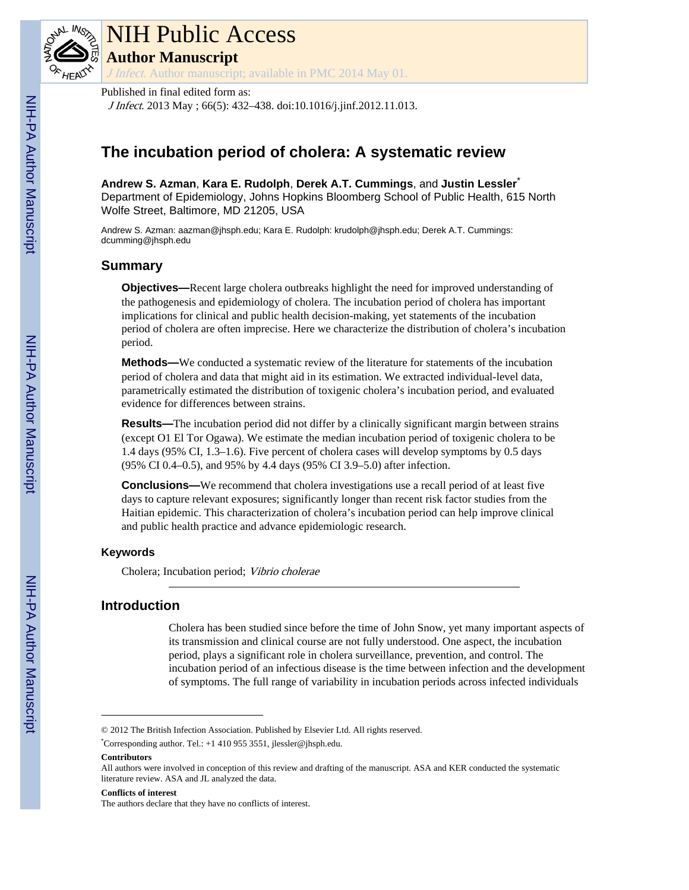

# NIH Public Access **Author Manuscript**

J Infect. Author manuscript; available in PMC 2014 May 01.

Published in final edited form as: J Infect. 2013 May ; 66(5): 432–438. doi:10.1016/j.jinf.2012.11.013.

# **The incubation period of cholera: A systematic review**

**Andrew S. Azman**, **Kara E. Rudolph**, **Derek A.T. Cummings**, and **Justin Lessler**\* Department of Epidemiology, Johns Hopkins Bloomberg School of Public Health, 615 North Wolfe Street, Baltimore, MD 21205, USA

Andrew S. Azman: aazman@jhsph.edu; Kara E. Rudolph: krudolph@jhsph.edu; Derek A.T. Cummings: dcumming@jhsph.edu

# **Summary**

**Objectives—**Recent large cholera outbreaks highlight the need for improved understanding of the pathogenesis and epidemiology of cholera. The incubation period of cholera has important implications for clinical and public health decision-making, yet statements of the incubation period of cholera are often imprecise. Here we characterize the distribution of cholera's incubation period.

**Methods—**We conducted a systematic review of the literature for statements of the incubation period of cholera and data that might aid in its estimation. We extracted individual-level data, parametrically estimated the distribution of toxigenic cholera's incubation period, and evaluated evidence for differences between strains.

**Results—**The incubation period did not differ by a clinically significant margin between strains (except O1 El Tor Ogawa). We estimate the median incubation period of toxigenic cholera to be 1.4 days (95% CI, 1.3–1.6). Five percent of cholera cases will develop symptoms by 0.5 days (95% CI 0.4–0.5), and 95% by 4.4 days (95% CI 3.9–5.0) after infection.

**Conclusions—**We recommend that cholera investigations use a recall period of at least five days to capture relevant exposures; significantly longer than recent risk factor studies from the Haitian epidemic. This characterization of cholera's incubation period can help improve clinical and public health practice and advance epidemiologic research.

# **Keywords**

Cholera; Incubation period; Vibrio cholerae

# **Introduction**

Cholera has been studied since before the time of John Snow, yet many important aspects of its transmission and clinical course are not fully understood. One aspect, the incubation period, plays a significant role in cholera surveillance, prevention, and control. The incubation period of an infectious disease is the time between infection and the development of symptoms. The full range of variability in incubation periods across infected individuals

**Contributors**

<sup>© 2012</sup> The British Infection Association. Published by Elsevier Ltd. All rights reserved.

<sup>\*</sup>Corresponding author. Tel.:  $+1$  410 955 3551, jlessler@jhsph.edu.

All authors were involved in conception of this review and drafting of the manuscript. ASA and KER conducted the systematic literature review. ASA and JL analyzed the data.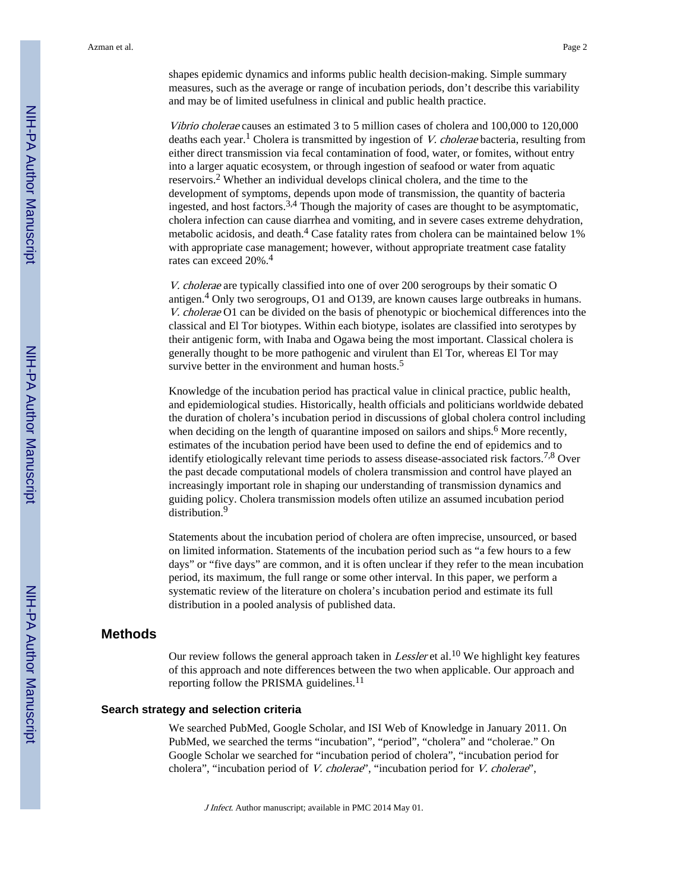shapes epidemic dynamics and informs public health decision-making. Simple summary measures, such as the average or range of incubation periods, don't describe this variability and may be of limited usefulness in clinical and public health practice.

Vibrio cholerae causes an estimated 3 to 5 million cases of cholera and 100,000 to 120,000 deaths each year.<sup>1</sup> Cholera is transmitted by ingestion of V. cholerae bacteria, resulting from either direct transmission via fecal contamination of food, water, or fomites, without entry into a larger aquatic ecosystem, or through ingestion of seafood or water from aquatic reservoirs.<sup>2</sup> Whether an individual develops clinical cholera, and the time to the development of symptoms, depends upon mode of transmission, the quantity of bacteria ingested, and host factors.3,4 Though the majority of cases are thought to be asymptomatic, cholera infection can cause diarrhea and vomiting, and in severe cases extreme dehydration, metabolic acidosis, and death.<sup>4</sup> Case fatality rates from cholera can be maintained below 1% with appropriate case management; however, without appropriate treatment case fatality rates can exceed 20%.<sup>4</sup>

V. cholerae are typically classified into one of over 200 serogroups by their somatic O antigen.<sup>4</sup> Only two serogroups, O1 and O139, are known causes large outbreaks in humans. V. cholerae O1 can be divided on the basis of phenotypic or biochemical differences into the classical and El Tor biotypes. Within each biotype, isolates are classified into serotypes by their antigenic form, with Inaba and Ogawa being the most important. Classical cholera is generally thought to be more pathogenic and virulent than El Tor, whereas El Tor may survive better in the environment and human hosts.<sup>5</sup>

Knowledge of the incubation period has practical value in clinical practice, public health, and epidemiological studies. Historically, health officials and politicians worldwide debated the duration of cholera's incubation period in discussions of global cholera control including when deciding on the length of quarantine imposed on sailors and ships.<sup>6</sup> More recently, estimates of the incubation period have been used to define the end of epidemics and to identify etiologically relevant time periods to assess disease-associated risk factors.<sup>7,8</sup> Over the past decade computational models of cholera transmission and control have played an increasingly important role in shaping our understanding of transmission dynamics and guiding policy. Cholera transmission models often utilize an assumed incubation period distribution.<sup>9</sup>

Statements about the incubation period of cholera are often imprecise, unsourced, or based on limited information. Statements of the incubation period such as "a few hours to a few days" or "five days" are common, and it is often unclear if they refer to the mean incubation period, its maximum, the full range or some other interval. In this paper, we perform a systematic review of the literature on cholera's incubation period and estimate its full distribution in a pooled analysis of published data.

# **Methods**

Our review follows the general approach taken in *Lessler* et al.<sup>10</sup> We highlight key features of this approach and note differences between the two when applicable. Our approach and reporting follow the PRISMA guidelines.<sup>11</sup>

### **Search strategy and selection criteria**

We searched PubMed, Google Scholar, and ISI Web of Knowledge in January 2011. On PubMed, we searched the terms "incubation", "period", "cholera" and "cholerae." On Google Scholar we searched for "incubation period of cholera", "incubation period for cholera", "incubation period of V. cholerae", "incubation period for V. cholerae",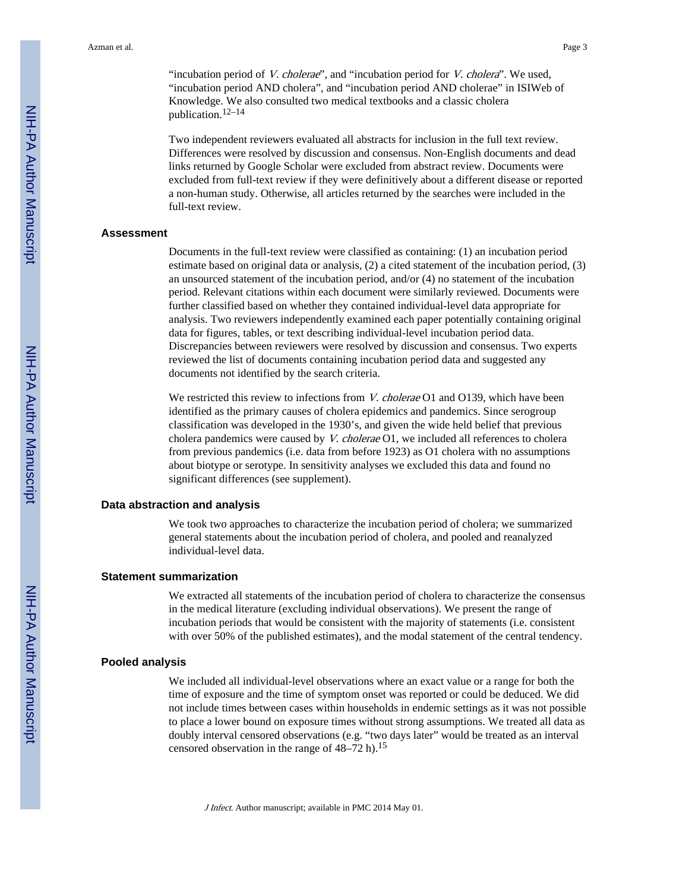"incubation period of V. cholerae", and "incubation period for V. cholera". We used, "incubation period AND cholera", and "incubation period AND cholerae" in ISIWeb of Knowledge. We also consulted two medical textbooks and a classic cholera publication.12–14

Two independent reviewers evaluated all abstracts for inclusion in the full text review. Differences were resolved by discussion and consensus. Non-English documents and dead links returned by Google Scholar were excluded from abstract review. Documents were excluded from full-text review if they were definitively about a different disease or reported a non-human study. Otherwise, all articles returned by the searches were included in the full-text review.

#### **Assessment**

Documents in the full-text review were classified as containing: (1) an incubation period estimate based on original data or analysis, (2) a cited statement of the incubation period, (3) an unsourced statement of the incubation period, and/or (4) no statement of the incubation period. Relevant citations within each document were similarly reviewed. Documents were further classified based on whether they contained individual-level data appropriate for analysis. Two reviewers independently examined each paper potentially containing original data for figures, tables, or text describing individual-level incubation period data. Discrepancies between reviewers were resolved by discussion and consensus. Two experts reviewed the list of documents containing incubation period data and suggested any documents not identified by the search criteria.

We restricted this review to infections from *V. cholerae* O1 and O139, which have been identified as the primary causes of cholera epidemics and pandemics. Since serogroup classification was developed in the 1930's, and given the wide held belief that previous cholera pandemics were caused by *V. cholerae* O1, we included all references to cholera from previous pandemics (i.e. data from before 1923) as O1 cholera with no assumptions about biotype or serotype. In sensitivity analyses we excluded this data and found no significant differences (see supplement).

# **Data abstraction and analysis**

We took two approaches to characterize the incubation period of cholera; we summarized general statements about the incubation period of cholera, and pooled and reanalyzed individual-level data.

# **Statement summarization**

We extracted all statements of the incubation period of cholera to characterize the consensus in the medical literature (excluding individual observations). We present the range of incubation periods that would be consistent with the majority of statements (i.e. consistent with over 50% of the published estimates), and the modal statement of the central tendency.

# **Pooled analysis**

We included all individual-level observations where an exact value or a range for both the time of exposure and the time of symptom onset was reported or could be deduced. We did not include times between cases within households in endemic settings as it was not possible to place a lower bound on exposure times without strong assumptions. We treated all data as doubly interval censored observations (e.g. "two days later" would be treated as an interval censored observation in the range of  $48-72$  h).<sup>15</sup>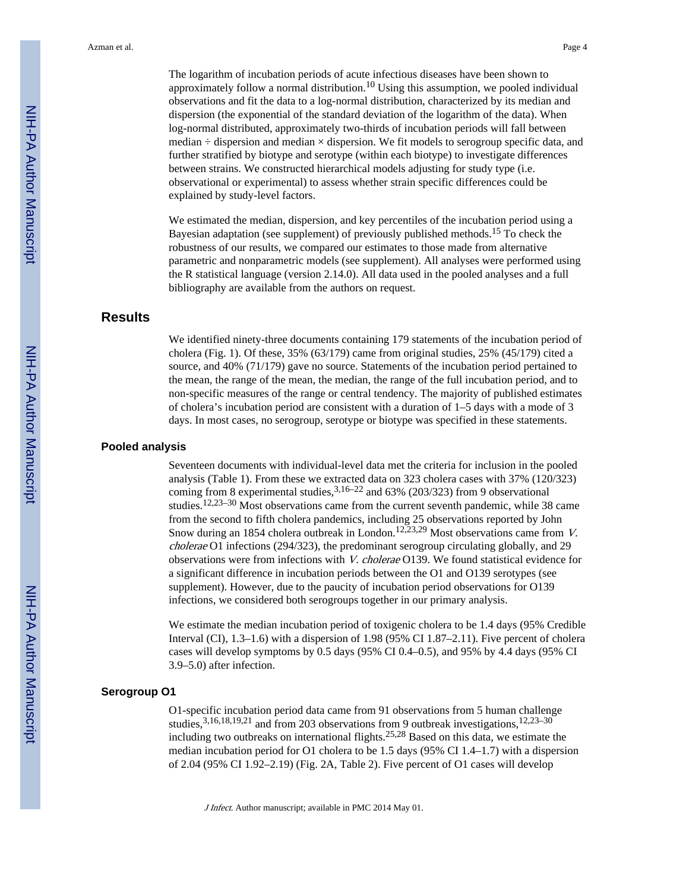The logarithm of incubation periods of acute infectious diseases have been shown to approximately follow a normal distribution.<sup>10</sup> Using this assumption, we pooled individual observations and fit the data to a log-normal distribution, characterized by its median and dispersion (the exponential of the standard deviation of the logarithm of the data). When log-normal distributed, approximately two-thirds of incubation periods will fall between median  $\div$  dispersion and median  $\times$  dispersion. We fit models to serogroup specific data, and further stratified by biotype and serotype (within each biotype) to investigate differences between strains. We constructed hierarchical models adjusting for study type (i.e. observational or experimental) to assess whether strain specific differences could be explained by study-level factors.

We estimated the median, dispersion, and key percentiles of the incubation period using a Bayesian adaptation (see supplement) of previously published methods.15 To check the robustness of our results, we compared our estimates to those made from alternative parametric and nonparametric models (see supplement). All analyses were performed using the R statistical language (version 2.14.0). All data used in the pooled analyses and a full bibliography are available from the authors on request.

# **Results**

We identified ninety-three documents containing 179 statements of the incubation period of cholera (Fig. 1). Of these, 35% (63/179) came from original studies, 25% (45/179) cited a source, and 40% (71/179) gave no source. Statements of the incubation period pertained to the mean, the range of the mean, the median, the range of the full incubation period, and to non-specific measures of the range or central tendency. The majority of published estimates of cholera's incubation period are consistent with a duration of 1–5 days with a mode of 3 days. In most cases, no serogroup, serotype or biotype was specified in these statements.

#### **Pooled analysis**

Seventeen documents with individual-level data met the criteria for inclusion in the pooled analysis (Table 1). From these we extracted data on 323 cholera cases with 37% (120/323) coming from 8 experimental studies,  $3,16-22$  and 63% (203/323) from 9 observational studies.12,23–30 Most observations came from the current seventh pandemic, while 38 came from the second to fifth cholera pandemics, including 25 observations reported by John Snow during an 1854 cholera outbreak in London.<sup>12,23,29</sup> Most observations came from V. cholerae O1 infections (294/323), the predominant serogroup circulating globally, and 29 observations were from infections with V. cholerae O139. We found statistical evidence for a significant difference in incubation periods between the O1 and O139 serotypes (see supplement). However, due to the paucity of incubation period observations for O139 infections, we considered both serogroups together in our primary analysis.

We estimate the median incubation period of toxigenic cholera to be 1.4 days (95% Credible Interval (CI), 1.3–1.6) with a dispersion of 1.98 (95% CI 1.87–2.11). Five percent of cholera cases will develop symptoms by 0.5 days (95% CI 0.4–0.5), and 95% by 4.4 days (95% CI 3.9–5.0) after infection.

# **Serogroup O1**

O1-specific incubation period data came from 91 observations from 5 human challenge studies,  $3,16,18,19,21$  and from 203 observations from 9 outbreak investigations,  $12,23-30$ including two outbreaks on international flights.25,28 Based on this data, we estimate the median incubation period for O1 cholera to be 1.5 days (95% CI 1.4–1.7) with a dispersion of 2.04 (95% CI 1.92–2.19) (Fig. 2A, Table 2). Five percent of O1 cases will develop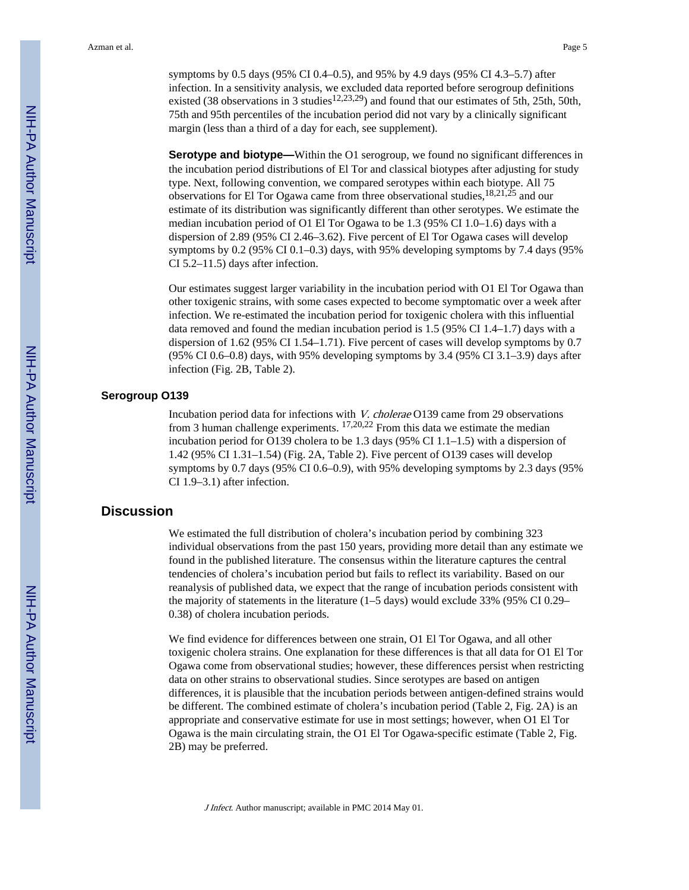symptoms by 0.5 days (95% CI 0.4–0.5), and 95% by 4.9 days (95% CI 4.3–5.7) after infection. In a sensitivity analysis, we excluded data reported before serogroup definitions existed (38 observations in 3 studies<sup>12,23,29</sup>) and found that our estimates of 5th, 25th, 50th, 75th and 95th percentiles of the incubation period did not vary by a clinically significant margin (less than a third of a day for each, see supplement).

**Serotype and biotype—**Within the O1 serogroup, we found no significant differences in the incubation period distributions of El Tor and classical biotypes after adjusting for study type. Next, following convention, we compared serotypes within each biotype. All 75 observations for El Tor Ogawa came from three observational studies,18,21,25 and our estimate of its distribution was significantly different than other serotypes. We estimate the median incubation period of O1 El Tor Ogawa to be 1.3 (95% CI 1.0–1.6) days with a dispersion of 2.89 (95% CI 2.46–3.62). Five percent of El Tor Ogawa cases will develop symptoms by 0.2 (95% CI 0.1–0.3) days, with 95% developing symptoms by 7.4 days (95% CI 5.2–11.5) days after infection.

Our estimates suggest larger variability in the incubation period with O1 El Tor Ogawa than other toxigenic strains, with some cases expected to become symptomatic over a week after infection. We re-estimated the incubation period for toxigenic cholera with this influential data removed and found the median incubation period is 1.5 (95% CI 1.4–1.7) days with a dispersion of 1.62 (95% CI 1.54–1.71). Five percent of cases will develop symptoms by 0.7 (95% CI 0.6–0.8) days, with 95% developing symptoms by 3.4 (95% CI 3.1–3.9) days after infection (Fig. 2B, Table 2).

# **Serogroup O139**

Incubation period data for infections with V. cholerae O139 came from 29 observations from 3 human challenge experiments.  $17,20,22$  From this data we estimate the median incubation period for O139 cholera to be 1.3 days (95% CI 1.1–1.5) with a dispersion of 1.42 (95% CI 1.31–1.54) (Fig. 2A, Table 2). Five percent of O139 cases will develop symptoms by 0.7 days (95% CI 0.6–0.9), with 95% developing symptoms by 2.3 days (95% CI 1.9–3.1) after infection.

# **Discussion**

We estimated the full distribution of cholera's incubation period by combining 323 individual observations from the past 150 years, providing more detail than any estimate we found in the published literature. The consensus within the literature captures the central tendencies of cholera's incubation period but fails to reflect its variability. Based on our reanalysis of published data, we expect that the range of incubation periods consistent with the majority of statements in the literature (1–5 days) would exclude 33% (95% CI 0.29– 0.38) of cholera incubation periods.

We find evidence for differences between one strain, O1 El Tor Ogawa, and all other toxigenic cholera strains. One explanation for these differences is that all data for O1 El Tor Ogawa come from observational studies; however, these differences persist when restricting data on other strains to observational studies. Since serotypes are based on antigen differences, it is plausible that the incubation periods between antigen-defined strains would be different. The combined estimate of cholera's incubation period (Table 2, Fig. 2A) is an appropriate and conservative estimate for use in most settings; however, when O1 El Tor Ogawa is the main circulating strain, the O1 El Tor Ogawa-specific estimate (Table 2, Fig. 2B) may be preferred.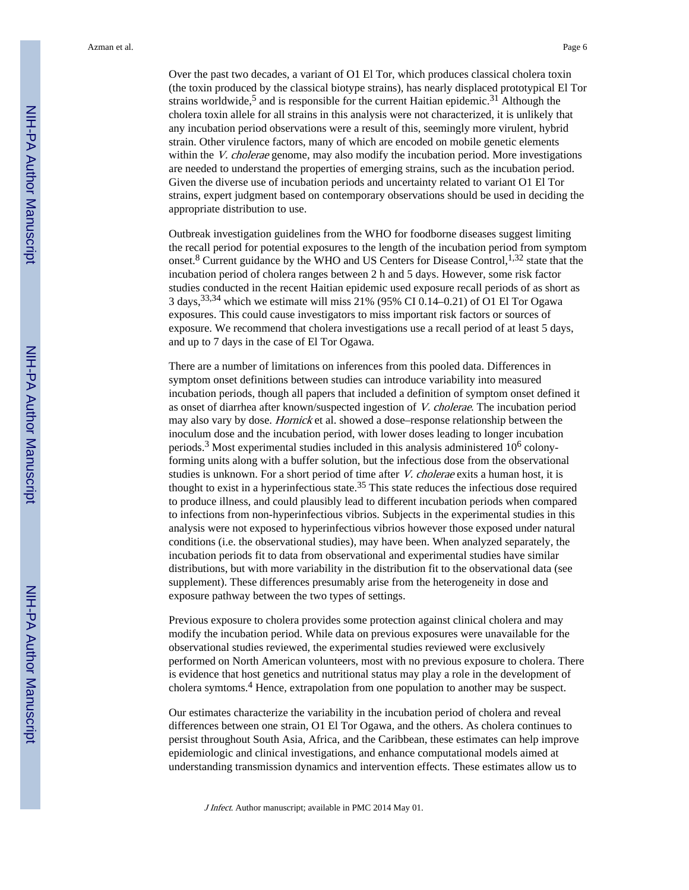Over the past two decades, a variant of O1 El Tor, which produces classical cholera toxin (the toxin produced by the classical biotype strains), has nearly displaced prototypical El Tor strains worldwide,<sup>5</sup> and is responsible for the current Haitian epidemic.<sup>31</sup> Although the cholera toxin allele for all strains in this analysis were not characterized, it is unlikely that any incubation period observations were a result of this, seemingly more virulent, hybrid strain. Other virulence factors, many of which are encoded on mobile genetic elements within the *V. cholerae* genome, may also modify the incubation period. More investigations are needed to understand the properties of emerging strains, such as the incubation period. Given the diverse use of incubation periods and uncertainty related to variant O1 El Tor strains, expert judgment based on contemporary observations should be used in deciding the appropriate distribution to use.

Outbreak investigation guidelines from the WHO for foodborne diseases suggest limiting the recall period for potential exposures to the length of the incubation period from symptom onset.<sup>8</sup> Current guidance by the WHO and US Centers for Disease Control,<sup>1,32</sup> state that the incubation period of cholera ranges between 2 h and 5 days. However, some risk factor studies conducted in the recent Haitian epidemic used exposure recall periods of as short as 3 days,  $33,34$  which we estimate will miss 21% (95% CI 0.14–0.21) of O1 El Tor Ogawa exposures. This could cause investigators to miss important risk factors or sources of exposure. We recommend that cholera investigations use a recall period of at least 5 days, and up to 7 days in the case of El Tor Ogawa.

There are a number of limitations on inferences from this pooled data. Differences in symptom onset definitions between studies can introduce variability into measured incubation periods, though all papers that included a definition of symptom onset defined it as onset of diarrhea after known/suspected ingestion of V. cholerae. The incubation period may also vary by dose. Hornick et al. showed a dose–response relationship between the inoculum dose and the incubation period, with lower doses leading to longer incubation periods.<sup>3</sup> Most experimental studies included in this analysis administered 10<sup>6</sup> colonyforming units along with a buffer solution, but the infectious dose from the observational studies is unknown. For a short period of time after V. cholerae exits a human host, it is thought to exist in a hyperinfectious state.35 This state reduces the infectious dose required to produce illness, and could plausibly lead to different incubation periods when compared to infections from non-hyperinfectious vibrios. Subjects in the experimental studies in this analysis were not exposed to hyperinfectious vibrios however those exposed under natural conditions (i.e. the observational studies), may have been. When analyzed separately, the incubation periods fit to data from observational and experimental studies have similar distributions, but with more variability in the distribution fit to the observational data (see supplement). These differences presumably arise from the heterogeneity in dose and exposure pathway between the two types of settings.

Previous exposure to cholera provides some protection against clinical cholera and may modify the incubation period. While data on previous exposures were unavailable for the observational studies reviewed, the experimental studies reviewed were exclusively performed on North American volunteers, most with no previous exposure to cholera. There is evidence that host genetics and nutritional status may play a role in the development of cholera symtoms.<sup>4</sup> Hence, extrapolation from one population to another may be suspect.

Our estimates characterize the variability in the incubation period of cholera and reveal differences between one strain, O1 El Tor Ogawa, and the others. As cholera continues to persist throughout South Asia, Africa, and the Caribbean, these estimates can help improve epidemiologic and clinical investigations, and enhance computational models aimed at understanding transmission dynamics and intervention effects. These estimates allow us to

J Infect. Author manuscript; available in PMC 2014 May 01.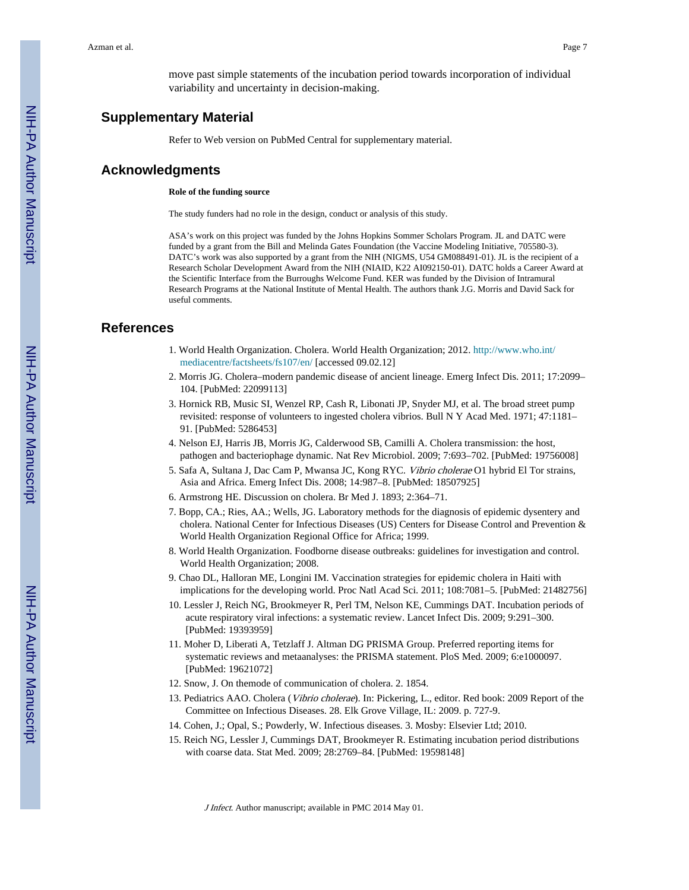move past simple statements of the incubation period towards incorporation of individual variability and uncertainty in decision-making.

# **Supplementary Material**

Refer to Web version on PubMed Central for supplementary material.

# **Acknowledgments**

#### **Role of the funding source**

The study funders had no role in the design, conduct or analysis of this study.

ASA's work on this project was funded by the Johns Hopkins Sommer Scholars Program. JL and DATC were funded by a grant from the Bill and Melinda Gates Foundation (the Vaccine Modeling Initiative, 705580-3). DATC's work was also supported by a grant from the NIH (NIGMS, U54 GM088491-01). JL is the recipient of a Research Scholar Development Award from the NIH (NIAID, K22 AI092150-01). DATC holds a Career Award at the Scientific Interface from the Burroughs Welcome Fund. KER was funded by the Division of Intramural Research Programs at the National Institute of Mental Health. The authors thank J.G. Morris and David Sack for useful comments.

# **References**

- 1. World Health Organization. Cholera. World Health Organization; 2012. [http://www.who.int/](http://www.who.int/mediacentre/factsheets/fs107/en/) [mediacentre/factsheets/fs107/en/](http://www.who.int/mediacentre/factsheets/fs107/en/) [accessed 09.02.12]
- 2. Morris JG. Cholera–modern pandemic disease of ancient lineage. Emerg Infect Dis. 2011; 17:2099– 104. [PubMed: 22099113]
- 3. Hornick RB, Music SI, Wenzel RP, Cash R, Libonati JP, Snyder MJ, et al. The broad street pump revisited: response of volunteers to ingested cholera vibrios. Bull N Y Acad Med. 1971; 47:1181– 91. [PubMed: 5286453]
- 4. Nelson EJ, Harris JB, Morris JG, Calderwood SB, Camilli A. Cholera transmission: the host, pathogen and bacteriophage dynamic. Nat Rev Microbiol. 2009; 7:693–702. [PubMed: 19756008]
- 5. Safa A, Sultana J, Dac Cam P, Mwansa JC, Kong RYC. Vibrio cholerae O1 hybrid El Tor strains, Asia and Africa. Emerg Infect Dis. 2008; 14:987–8. [PubMed: 18507925]
- 6. Armstrong HE. Discussion on cholera. Br Med J. 1893; 2:364–71.
- 7. Bopp, CA.; Ries, AA.; Wells, JG. Laboratory methods for the diagnosis of epidemic dysentery and cholera. National Center for Infectious Diseases (US) Centers for Disease Control and Prevention & World Health Organization Regional Office for Africa; 1999.
- 8. World Health Organization. Foodborne disease outbreaks: guidelines for investigation and control. World Health Organization; 2008.
- 9. Chao DL, Halloran ME, Longini IM. Vaccination strategies for epidemic cholera in Haiti with implications for the developing world. Proc Natl Acad Sci. 2011; 108:7081–5. [PubMed: 21482756]
- 10. Lessler J, Reich NG, Brookmeyer R, Perl TM, Nelson KE, Cummings DAT. Incubation periods of acute respiratory viral infections: a systematic review. Lancet Infect Dis. 2009; 9:291–300. [PubMed: 19393959]
- 11. Moher D, Liberati A, Tetzlaff J. Altman DG PRISMA Group. Preferred reporting items for systematic reviews and metaanalyses: the PRISMA statement. PloS Med. 2009; 6:e1000097. [PubMed: 19621072]
- 12. Snow, J. On themode of communication of cholera. 2. 1854.
- 13. Pediatrics AAO. Cholera (Vibrio cholerae). In: Pickering, L., editor. Red book: 2009 Report of the Committee on Infectious Diseases. 28. Elk Grove Village, IL: 2009. p. 727-9.
- 14. Cohen, J.; Opal, S.; Powderly, W. Infectious diseases. 3. Mosby: Elsevier Ltd; 2010.
- 15. Reich NG, Lessler J, Cummings DAT, Brookmeyer R. Estimating incubation period distributions with coarse data. Stat Med. 2009; 28:2769–84. [PubMed: 19598148]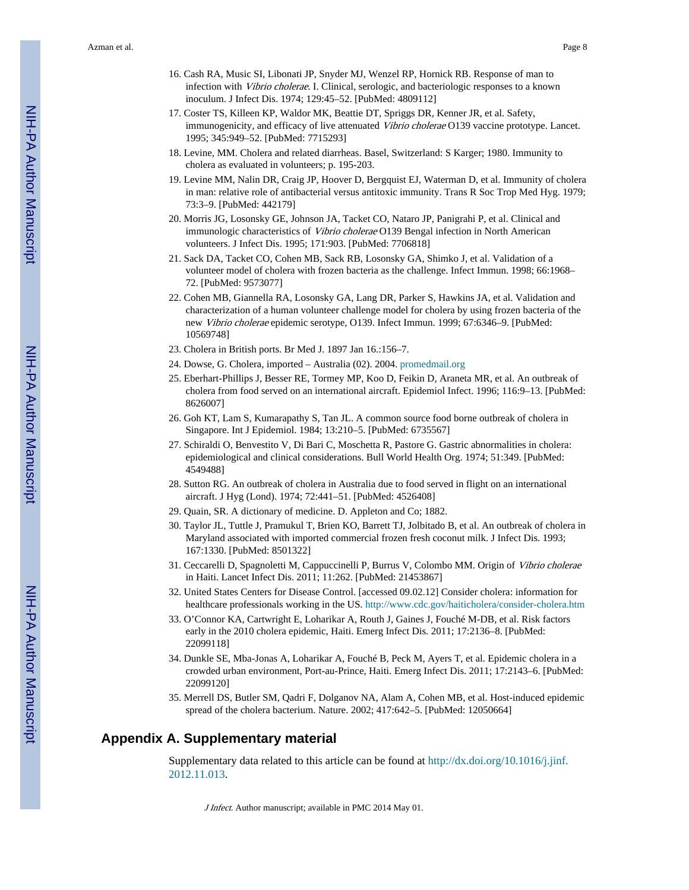- 16. Cash RA, Music SI, Libonati JP, Snyder MJ, Wenzel RP, Hornick RB. Response of man to infection with Vibrio cholerae. I. Clinical, serologic, and bacteriologic responses to a known inoculum. J Infect Dis. 1974; 129:45–52. [PubMed: 4809112]
- 17. Coster TS, Killeen KP, Waldor MK, Beattie DT, Spriggs DR, Kenner JR, et al. Safety, immunogenicity, and efficacy of live attenuated Vibrio cholerae O139 vaccine prototype. Lancet. 1995; 345:949–52. [PubMed: 7715293]
- 18. Levine, MM. Cholera and related diarrheas. Basel, Switzerland: S Karger; 1980. Immunity to cholera as evaluated in volunteers; p. 195-203.
- 19. Levine MM, Nalin DR, Craig JP, Hoover D, Bergquist EJ, Waterman D, et al. Immunity of cholera in man: relative role of antibacterial versus antitoxic immunity. Trans R Soc Trop Med Hyg. 1979; 73:3–9. [PubMed: 442179]
- 20. Morris JG, Losonsky GE, Johnson JA, Tacket CO, Nataro JP, Panigrahi P, et al. Clinical and immunologic characteristics of *Vibrio cholerae* O139 Bengal infection in North American volunteers. J Infect Dis. 1995; 171:903. [PubMed: 7706818]
- 21. Sack DA, Tacket CO, Cohen MB, Sack RB, Losonsky GA, Shimko J, et al. Validation of a volunteer model of cholera with frozen bacteria as the challenge. Infect Immun. 1998; 66:1968– 72. [PubMed: 9573077]
- 22. Cohen MB, Giannella RA, Losonsky GA, Lang DR, Parker S, Hawkins JA, et al. Validation and characterization of a human volunteer challenge model for cholera by using frozen bacteria of the new Vibrio cholerae epidemic serotype, O139. Infect Immun. 1999; 67:6346–9. [PubMed: 10569748]
- 23. Cholera in British ports. Br Med J. 1897 Jan 16.:156–7.
- 24. Dowse, G. Cholera, imported Australia (02). 2004. promedmail.org
- 25. Eberhart-Phillips J, Besser RE, Tormey MP, Koo D, Feikin D, Araneta MR, et al. An outbreak of cholera from food served on an international aircraft. Epidemiol Infect. 1996; 116:9–13. [PubMed: 8626007]
- 26. Goh KT, Lam S, Kumarapathy S, Tan JL. A common source food borne outbreak of cholera in Singapore. Int J Epidemiol. 1984; 13:210–5. [PubMed: 6735567]
- 27. Schiraldi O, Benvestito V, Di Bari C, Moschetta R, Pastore G. Gastric abnormalities in cholera: epidemiological and clinical considerations. Bull World Health Org. 1974; 51:349. [PubMed: 4549488]
- 28. Sutton RG. An outbreak of cholera in Australia due to food served in flight on an international aircraft. J Hyg (Lond). 1974; 72:441–51. [PubMed: 4526408]
- 29. Quain, SR. A dictionary of medicine. D. Appleton and Co; 1882.
- 30. Taylor JL, Tuttle J, Pramukul T, Brien KO, Barrett TJ, Jolbitado B, et al. An outbreak of cholera in Maryland associated with imported commercial frozen fresh coconut milk. J Infect Dis. 1993; 167:1330. [PubMed: 8501322]
- 31. Ceccarelli D, Spagnoletti M, Cappuccinelli P, Burrus V, Colombo MM. Origin of Vibrio cholerae in Haiti. Lancet Infect Dis. 2011; 11:262. [PubMed: 21453867]
- 32. United States Centers for Disease Control. [accessed 09.02.12] Consider cholera: information for healthcare professionals working in the US. <http://www.cdc.gov/haiticholera/consider-cholera.htm>
- 33. O'Connor KA, Cartwright E, Loharikar A, Routh J, Gaines J, Fouché M-DB, et al. Risk factors early in the 2010 cholera epidemic, Haiti. Emerg Infect Dis. 2011; 17:2136–8. [PubMed: 22099118]
- 34. Dunkle SE, Mba-Jonas A, Loharikar A, Fouché B, Peck M, Ayers T, et al. Epidemic cholera in a crowded urban environment, Port-au-Prince, Haiti. Emerg Infect Dis. 2011; 17:2143–6. [PubMed: 22099120]
- 35. Merrell DS, Butler SM, Qadri F, Dolganov NA, Alam A, Cohen MB, et al. Host-induced epidemic spread of the cholera bacterium. Nature. 2002; 417:642–5. [PubMed: 12050664]

# **Appendix A. Supplementary material**

Supplementary data related to this article can be found at [http://dx.doi.org/10.1016/j.jinf.](http://dx.doi.org/10.1016/j.jinf.2012.11.013) [2012.11.013](http://dx.doi.org/10.1016/j.jinf.2012.11.013).

J Infect. Author manuscript; available in PMC 2014 May 01.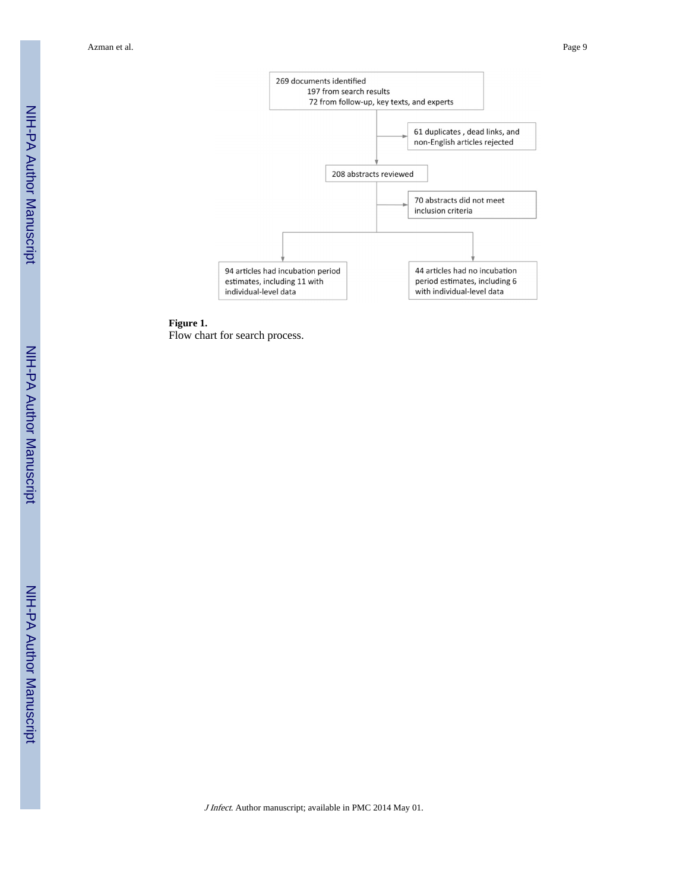

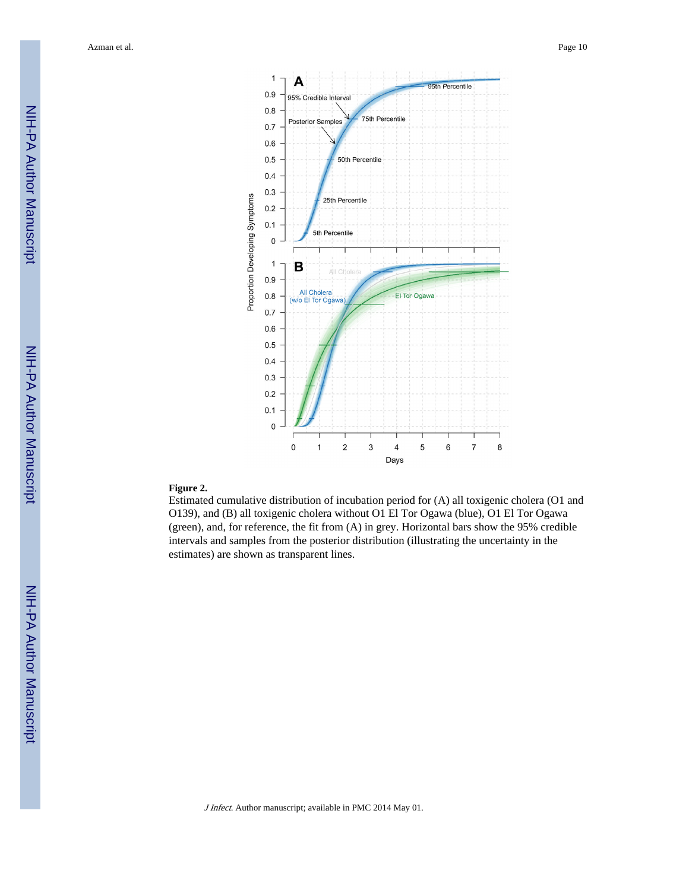

#### **Figure 2.**

Estimated cumulative distribution of incubation period for (A) all toxigenic cholera (O1 and O139), and (B) all toxigenic cholera without O1 El Tor Ogawa (blue), O1 El Tor Ogawa (green), and, for reference, the fit from (A) in grey. Horizontal bars show the 95% credible intervals and samples from the posterior distribution (illustrating the uncertainty in the estimates) are shown as transparent lines.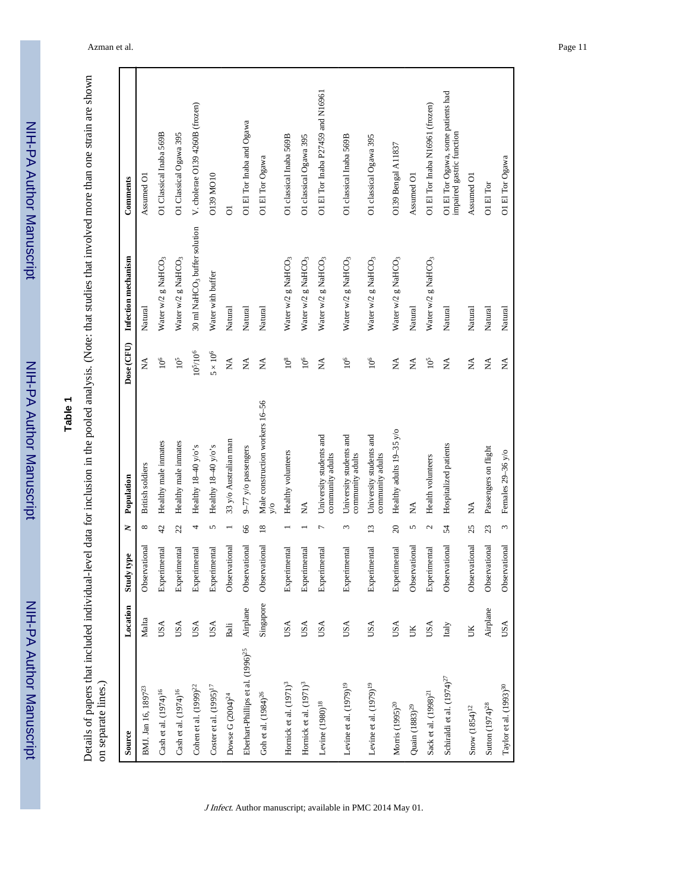| <b>ACLIN</b> |
|--------------|
|              |
|              |
|              |
|              |
|              |
|              |
|              |
|              |
|              |
|              |
|              |
|              |
|              |
| .<br>.<br>.  |
|              |
|              |
|              |
|              |
|              |
|              |
|              |
|              |
|              |
|              |
|              |
|              |
|              |

# **Table 1**

Details of papers that included individual-level data for inclusion in the pooled analysis. (Note: that studies that involved more than one strain are shown<br>on separate lines.) Details of papers that included individual-level data for inclusion in the pooled analysis. (Note: that studies that involved more than one strain are shown on separate lines.)

| Source                                        | Location  | ·type<br>Study | Z              | Population                                    | Dose (CFU)                       | Infection mechanism                      | Comments                                                        |
|-----------------------------------------------|-----------|----------------|----------------|-----------------------------------------------|----------------------------------|------------------------------------------|-----------------------------------------------------------------|
| BMJ. Jan 16, 1897 <sup>23</sup>               | Malta     | Observational  | $^{\circ}$     | British soldiers                              | ₹<br>Z                           | Natural                                  | Assumed O1                                                      |
| Cash et al. (1974) <sup>16</sup>              | USA       | Experimental   | 42             | Healthy male inmates                          | 10 <sup>6</sup>                  | Water w/2 g NaHCO <sub>3</sub>           | O1 Classical Inaba 569B                                         |
| Cash et al. (1974) <sup>16</sup>              | USA       | Experimental   | 22             | Healthy male inmates                          | 10 <sup>5</sup>                  | Water w/2 g NaHCO <sub>3</sub>           | O1 Classical Ogawa 395                                          |
| Cohen et al. $(1999)^{22}$                    | USA       | Experimental   | 4              | Healthy 18-40 y/o's                           | 10 <sup>5</sup> /10 <sup>6</sup> | 30 ml NaHCO <sub>3</sub> buffer solution | V. cholerae O139 4260B (frozen)                                 |
| Coster et al. $(1995)^{17}$                   | USA       | Experimental   | 5              | Healthy 18-40 y/o's                           | $5\times10^6$                    | Water with buffer                        | 0139 MO10                                                       |
| Dowse G $(2004)^{24}$                         | Bali      | Observational  | Η              | 33 y/o Australian man                         | $\mathbb{X}^{\mathsf{A}}$        | Natural                                  | $\overline{\circ}$                                              |
| Eberhart-Phillips et al. (1996) <sup>25</sup> | Airplane  | Observational  | 66             | 9-77 y/o passengers                           | ÁN                               | Natural                                  | O1 El Tor Inaba and Ogawa                                       |
| Goh et al. (1984) <sup>26</sup>               | Singapore | Observational  | 18             | Male construction workers 16-56<br>$\sqrt{6}$ | $\mathop{\rm S}\nolimits$        | Natural                                  | O1 El Tor Ogawa                                                 |
| Hornick et al. (1971) <sup>3</sup>            | USA       | Experimental   |                | Healthy volunteers                            | 10 <sup>8</sup>                  | Water w/2 g NaHCO <sub>3</sub>           | O1 classical Inaba 569B                                         |
| Hornick et al. (1971) <sup>3</sup>            | USA       | Experimental   |                | $\mathbb{X}^{\mathsf{A}}$                     | 10 <sup>6</sup>                  | Water w/2 g NaHCO <sub>3</sub>           | O1 classical Ogawa 395                                          |
| Levine $(1980)^{18}$                          | USA       | Experimental   | Γ              | University students and<br>community adults   | $\mathbb{A}^{\mathsf{A}}$        | Water w/2 g NaHCO <sub>3</sub>           | O1 El Tor Inaba P27459 and N16961                               |
| Levine et al. (1979) <sup>19</sup>            | USA       | Experimental   | 3              | University students and<br>community adults   | 10 <sup>6</sup>                  | Water w/2 g NaHCO <sub>3</sub>           | O1 classical Inaba 569B                                         |
| Levine et al. (1979) <sup>19</sup>            | USA       | Experimental   | 13             | University students and<br>community adults   | 10 <sup>6</sup>                  | Water w/2 g NaHCO <sub>3</sub>           | O1 classical Ogawa 395                                          |
| Morris (1995) <sup>20</sup>                   | USA       | Experimental   | $\overline{c}$ | Healthy adults 19-35 y/o                      | $\mathbb{X}^{\mathsf{A}}$        | Water w/2 g NaHCO <sub>3</sub>           | O139 Bengal A11837                                              |
| Quain $(1883)^{29}\,$                         | ŬК        | Observational  | 5              | $\mathbb{X}^{\mathsf{A}}$                     | $\mathbb{X}^{\mathsf{A}}$        | Natural                                  | Assumed O1                                                      |
| Sack et al. (1998) <sup>21</sup>              | USA       | Experimental   | $\mathbf{c}$   | Health volunteers                             | 10 <sup>5</sup>                  | Water w/2 g NaHCO <sub>3</sub>           | O1 El Tor Inaba N16961 (frozen)                                 |
| Schiraldi et al. (1974) <sup>27</sup>         | Italy     | Observational  | 54             | Hospitalized patients                         | $\mathbb{E}^{\mathsf{A}}$        | Natural                                  | O1 El Tor Ogawa, some patients had<br>impaired gastric function |
| $Snow (1854)^{12}$                            | UK        | Observational  | 25             | $\mathbb{X}^{\mathsf{A}}$                     | $\mathbb{A}$                     | Natural                                  | Assumed O1                                                      |
| Sutton $(1974)^{28}$                          | Airplane  | Observational  | 23             | Passengers on flight                          | $\mathbb{X}^{\mathsf{A}}$        | Natural                                  | O1 El Tor                                                       |
| Taylor et al. $(1993)^{30}\,$                 | USA       | Observational  | 3              | Females 29-36 y/o                             | É                                | Natural                                  | O1 El Tor Ogawa                                                 |

J Infect. Author manuscript; available in PMC 2014 May 01.